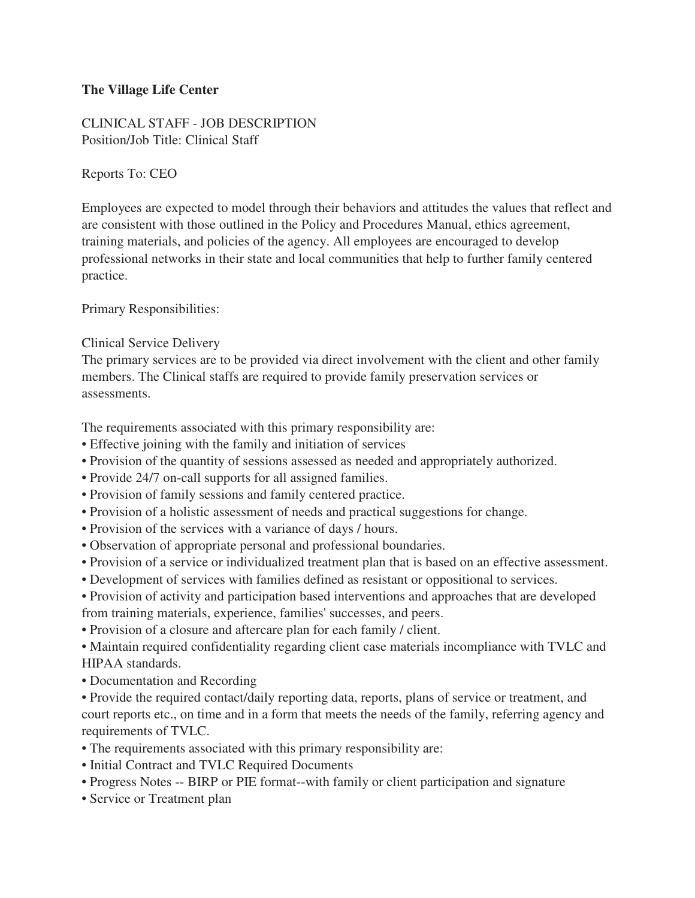## **The Village Life Center**

CLINICAL STAFF - JOB DESCRIPTION Position/Job Title: Clinical Staff

Reports To: CEO

Employees are expected to model through their behaviors and attitudes the values that reflect and are consistent with those outlined in the Policy and Procedures Manual, ethics agreement, training materials, and policies of the agency. All employees are encouraged to develop professional networks in their state and local communities that help to further family centered practice.

Primary Responsibilities:

Clinical Service Delivery

The primary services are to be provided via direct involvement with the client and other family members. The Clinical staffs are required to provide family preservation services or assessments.

The requirements associated with this primary responsibility are:

- Effective joining with the family and initiation of services
- Provision of the quantity of sessions assessed as needed and appropriately authorized.
- Provide 24/7 on-call supports for all assigned families.
- Provision of family sessions and family centered practice.
- Provision of a holistic assessment of needs and practical suggestions for change.
- Provision of the services with a variance of days / hours.
- Observation of appropriate personal and professional boundaries.
- Provision of a service or individualized treatment plan that is based on an effective assessment.
- Development of services with families defined as resistant or oppositional to services.
- Provision of activity and participation based interventions and approaches that are developed from training materials, experience, families' successes, and peers.
- Provision of a closure and aftercare plan for each family / client.
- Maintain required confidentiality regarding client case materials incompliance with TVLC and HIPAA standards.
- Documentation and Recording

• Provide the required contact/daily reporting data, reports, plans of service or treatment, and court reports etc., on time and in a form that meets the needs of the family, referring agency and requirements of TVLC.

- The requirements associated with this primary responsibility are:
- Initial Contract and TVLC Required Documents
- Progress Notes -- BIRP or PIE format--with family or client participation and signature
- Service or Treatment plan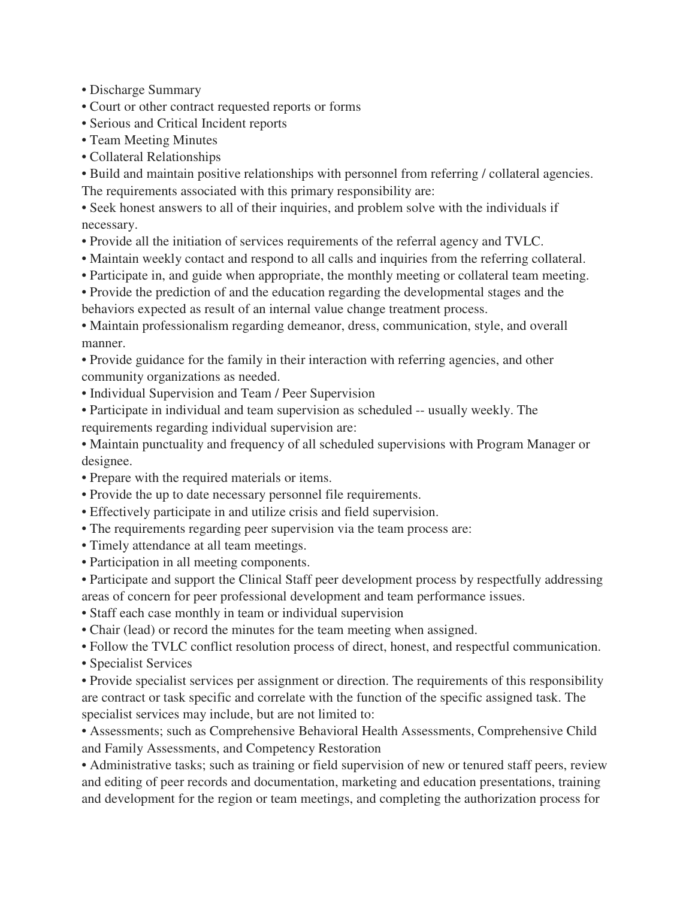• Discharge Summary

• Court or other contract requested reports or forms

- Serious and Critical Incident reports
- Team Meeting Minutes
- Collateral Relationships

• Build and maintain positive relationships with personnel from referring / collateral agencies. The requirements associated with this primary responsibility are:

• Seek honest answers to all of their inquiries, and problem solve with the individuals if necessary.

- Provide all the initiation of services requirements of the referral agency and TVLC.
- Maintain weekly contact and respond to all calls and inquiries from the referring collateral.
- Participate in, and guide when appropriate, the monthly meeting or collateral team meeting.

• Provide the prediction of and the education regarding the developmental stages and the behaviors expected as result of an internal value change treatment process.

• Maintain professionalism regarding demeanor, dress, communication, style, and overall manner.

• Provide guidance for the family in their interaction with referring agencies, and other community organizations as needed.

- Individual Supervision and Team / Peer Supervision
- Participate in individual and team supervision as scheduled -- usually weekly. The requirements regarding individual supervision are:

• Maintain punctuality and frequency of all scheduled supervisions with Program Manager or designee.

- Prepare with the required materials or items.
- Provide the up to date necessary personnel file requirements.
- Effectively participate in and utilize crisis and field supervision.
- The requirements regarding peer supervision via the team process are:
- Timely attendance at all team meetings.
- Participation in all meeting components.

• Participate and support the Clinical Staff peer development process by respectfully addressing areas of concern for peer professional development and team performance issues.

- Staff each case monthly in team or individual supervision
- Chair (lead) or record the minutes for the team meeting when assigned.
- Follow the TVLC conflict resolution process of direct, honest, and respectful communication.
- Specialist Services

• Provide specialist services per assignment or direction. The requirements of this responsibility are contract or task specific and correlate with the function of the specific assigned task. The specialist services may include, but are not limited to:

• Assessments; such as Comprehensive Behavioral Health Assessments, Comprehensive Child and Family Assessments, and Competency Restoration

• Administrative tasks; such as training or field supervision of new or tenured staff peers, review and editing of peer records and documentation, marketing and education presentations, training and development for the region or team meetings, and completing the authorization process for